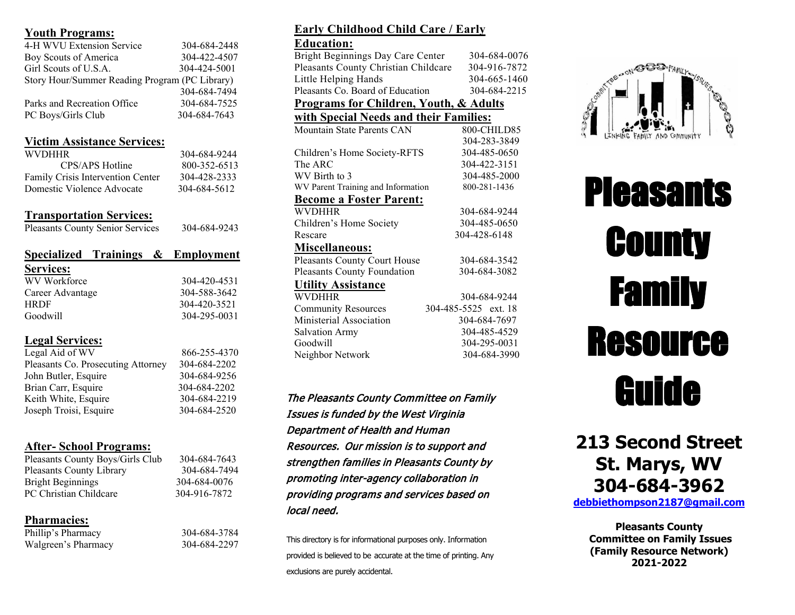#### **Youth Programs:**

| 4-H WVU Extension Service                      | 304-684-2448 |
|------------------------------------------------|--------------|
| Boy Scouts of America                          | 304-422-4507 |
| Girl Scouts of U.S.A.                          | 304-424-5001 |
| Story Hour/Summer Reading Program (PC Library) |              |
|                                                | 304-684-7494 |
| Parks and Recreation Office                    | 304-684-7525 |
| PC Boys/Girls Club                             | 304-684-7643 |
|                                                |              |

### **Victim Assistance Services:**

| <b>WVDHHR</b>                     | 304-684-9244 |
|-----------------------------------|--------------|
| CPS/APS Hotline                   | 800-352-6513 |
| Family Crisis Intervention Center | 304-428-2333 |
| Domestic Violence Advocate        | 304-684-5612 |

# **Transportation Services:**

| <b>Pleasants County Senior Services</b> | 304-684-9243 |
|-----------------------------------------|--------------|
| Specialized Trainings & Employment      |              |
| <b>Services:</b>                        |              |
| WV Workforce                            | 304-420-4531 |
| Career Advantage                        | 304-588-3642 |
| <b>HRDF</b>                             | 304-420-3521 |
| Goodwill                                | 304-295-0031 |

# **Legal Services:**

| Legal Aid of WV                    | 866-255-4370 |
|------------------------------------|--------------|
| Pleasants Co. Prosecuting Attorney | 304-684-2202 |
| John Butler, Esquire               | 304-684-9256 |
| Brian Carr, Esquire                | 304-684-2202 |
| Keith White, Esquire               | 304-684-2219 |
| Joseph Troisi, Esquire             | 304-684-2520 |
|                                    |              |

# **After- School Programs:**

| 304-684-7643 |
|--------------|
| 304-684-7494 |
| 304-684-0076 |
| 304-916-7872 |
|              |

# **Pharmacies:**

| Phillip's Pharmacy  |  |
|---------------------|--|
| Walgreen's Pharmacy |  |

Phillip's Pharmacy 304-684-3784 Walgreen's Pharmacy 304-684-2297

# **Early Childhood Child Care / Early**

#### **Education:**

| Bright Beginnings Day Care Center                 | 304-684-0076         |
|---------------------------------------------------|----------------------|
| Pleasants County Christian Childcare              | 304-916-7872         |
| Little Helping Hands                              | 304-665-1460         |
| Pleasants Co. Board of Education                  | 304-684-2215         |
| <b>Programs for Children, Youth, &amp; Adults</b> |                      |
| with Special Needs and their Families:            |                      |
| Mountain State Parents CAN                        | 800-CHILD85          |
|                                                   | 304-283-3849         |
| Children's Home Society-RFTS                      | 304-485-0650         |
| The $\mathsf{ARC}$                                | 304-422-3151         |
| WV Birth to 3                                     | 304-485-2000         |
| WV Parent Training and Information                | 800-281-1436         |
| <b>Become a Foster Parent:</b>                    |                      |
| <b>WVDHHR</b>                                     | 304-684-9244         |
| Children's Home Society                           | 304-485-0650         |
| Rescare                                           | 304-428-6148         |
| <u> Miscellaneous:</u>                            |                      |
| Pleasants County Court House                      | 304-684-3542         |
| Pleasants County Foundation                       | 304-684-3082         |
| <b>Utility Assistance</b>                         |                      |
| <b>WVDHHR</b>                                     | 304-684-9244         |
| <b>Community Resources</b>                        | 304-485-5525 ext. 18 |
| Ministerial Association                           | 304-684-7697         |
| <b>Salvation Army</b>                             | 304-485-4529         |
| Goodwill                                          | 304-295-0031         |
| Neighbor Network                                  | 304-684-3990         |
|                                                   |                      |
|                                                   |                      |

The Pleasants County Committee on Family Issues is funded by the West Virginia Department of Health and Human Resources. Our mission is to support and strengthen families in Pleasants County by promoting inter-agency collaboration in providing programs and services based on local need.

This directory is for informational purposes only. Information provided is believed to be accurate at the time of printing. Any exclusions are purely accidental.



# **Pleasants County** Family Resource Guide

# **213 Second Street St. Marys, WV 304-684-3962**

**[debbiethompson2187@gmail.com](mailto:cofi@suddenlinkmail.com)**

**Pleasants County Committee on Family Issues (Family Resource Network) 2021-2022**